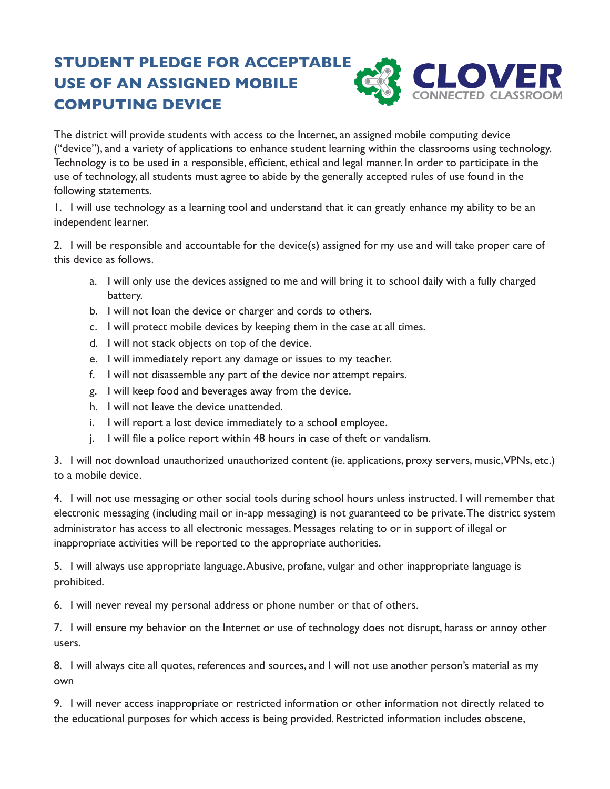## **STUDENT PLEDGE FOR ACCEPTABLE USE OF AN ASSIGNED MOBILE COMPUTING DEVICE**



The district will provide students with access to the Internet, an assigned mobile computing device ("device"), and a variety of applications to enhance student learning within the classrooms using technology. Technology is to be used in a responsible, efficient, ethical and legal manner. In order to participate in the use of technology, all students must agree to abide by the generally accepted rules of use found in the following statements.

1. I will use technology as a learning tool and understand that it can greatly enhance my ability to be an independent learner.

2. I will be responsible and accountable for the device(s) assigned for my use and will take proper care of this device as follows.

- a. I will only use the devices assigned to me and will bring it to school daily with a fully charged battery.
- b. I will not loan the device or charger and cords to others.
- c. I will protect mobile devices by keeping them in the case at all times.
- d. I will not stack objects on top of the device.
- e. I will immediately report any damage or issues to my teacher.
- f. I will not disassemble any part of the device nor attempt repairs.
- g. I will keep food and beverages away from the device.
- h. I will not leave the device unattended.
- i. I will report a lost device immediately to a school employee.
- j. I will file a police report within 48 hours in case of theft or vandalism.

3. I will not download unauthorized unauthorized content (ie. applications, proxy servers, music, VPNs, etc.) to a mobile device.

4. I will not use messaging or other social tools during school hours unless instructed. I will remember that electronic messaging (including mail or in-app messaging) is not guaranteed to be private. The district system administrator has access to all electronic messages. Messages relating to or in support of illegal or inappropriate activities will be reported to the appropriate authorities.

5. I will always use appropriate language. Abusive, profane, vulgar and other inappropriate language is prohibited.

6. I will never reveal my personal address or phone number or that of others.

7. I will ensure my behavior on the Internet or use of technology does not disrupt, harass or annoy other users.

8. I will always cite all quotes, references and sources, and I will not use another person's material as my own

9. I will never access inappropriate or restricted information or other information not directly related to the educational purposes for which access is being provided. Restricted information includes obscene,